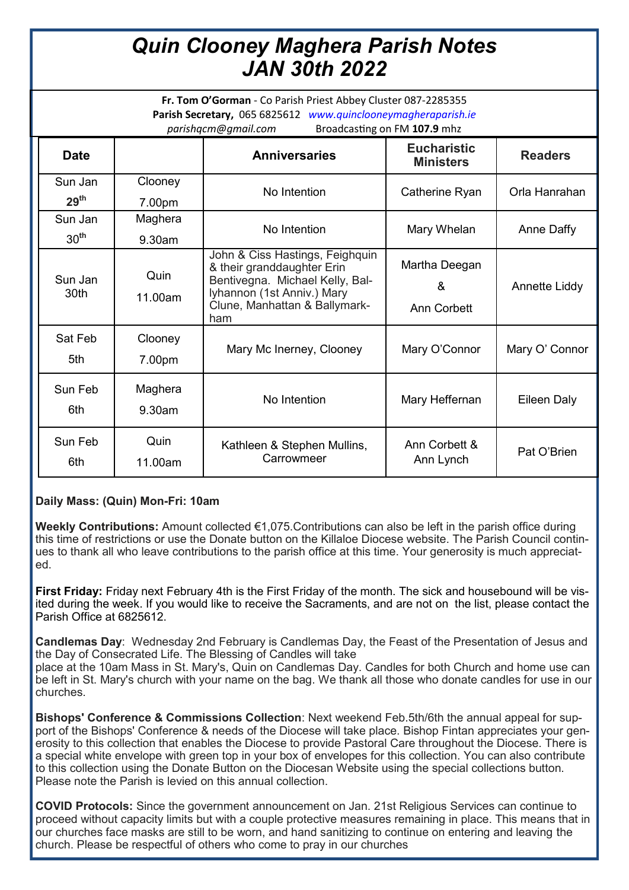## *Quin Clooney Maghera Parish Notes JAN 30th 2022*

**Fr. Tom O'Gorman** - Co Parish Priest Abbey Cluster 087-2285355 **Parish Secretary,** 065 6825612 *www.quinclooneymagheraparish.ie parishqcm@gmail.com* Broadcasting on FM **107.9** mhz

| <b>Date</b>                 |                   | <b>Anniversaries</b>                                                                                                                                                   | <b>Eucharistic</b><br><b>Ministers</b> | <b>Readers</b> |
|-----------------------------|-------------------|------------------------------------------------------------------------------------------------------------------------------------------------------------------------|----------------------------------------|----------------|
| Sun Jan<br>29 <sup>th</sup> | Clooney<br>7.00pm | No Intention                                                                                                                                                           | Catherine Ryan                         | Orla Hanrahan  |
| Sun Jan<br>30 <sup>th</sup> | Maghera<br>9.30am | No Intention                                                                                                                                                           | Mary Whelan                            | Anne Daffy     |
| Sun Jan<br>30th             | Quin<br>11.00am   | John & Ciss Hastings, Feighquin<br>& their granddaughter Erin<br>Bentivegna. Michael Kelly, Bal-<br>lyhannon (1st Anniv.) Mary<br>Clune, Manhattan & Ballymark-<br>ham | Martha Deegan<br>&<br>Ann Corbett      | Annette Liddy  |
| Sat Feb<br>5th              | Clooney<br>7.00pm | Mary Mc Inerney, Clooney                                                                                                                                               | Mary O'Connor                          | Mary O' Connor |
| Sun Feb<br>6th              | Maghera<br>9.30am | No Intention                                                                                                                                                           | Mary Heffernan                         | Eileen Daly    |
| Sun Feb<br>6th              | Quin<br>11.00am   | Kathleen & Stephen Mullins,<br>Carrowmeer                                                                                                                              | Ann Corbett &<br>Ann Lynch             | Pat O'Brien    |

## **Daily Mass: (Quin) Mon-Fri: 10am**

**Weekly Contributions:** Amount collected €1,075.Contributions can also be left in the parish office during this time of restrictions or use the Donate button on the Killaloe Diocese website. The Parish Council continues to thank all who leave contributions to the parish office at this time. Your generosity is much appreciated.

**First Friday:** Friday next February 4th is the First Friday of the month. The sick and housebound will be visited during the week. If you would like to receive the Sacraments, and are not on the list, please contact the Parish Office at 6825612.

**Candlemas Day**: Wednesday 2nd February is Candlemas Day, the Feast of the Presentation of Jesus and the Day of Consecrated Life. The Blessing of Candles will take

place at the 10am Mass in St. Mary's, Quin on Candlemas Day. Candles for both Church and home use can be left in St. Mary's church with your name on the bag. We thank all those who donate candles for use in our churches.

**Bishops' Conference & Commissions Collection**: Next weekend Feb.5th/6th the annual appeal for support of the Bishops' Conference & needs of the Diocese will take place. Bishop Fintan appreciates your generosity to this collection that enables the Diocese to provide Pastoral Care throughout the Diocese. There is a special white envelope with green top in your box of envelopes for this collection. You can also contribute to this collection using the Donate Button on the Diocesan Website using the special collections button. Please note the Parish is levied on this annual collection.

**COVID Protocols:** Since the government announcement on Jan. 21st Religious Services can continue to proceed without capacity limits but with a couple protective measures remaining in place. This means that in our churches face masks are still to be worn, and hand sanitizing to continue on entering and leaving the church. Please be respectful of others who come to pray in our churches